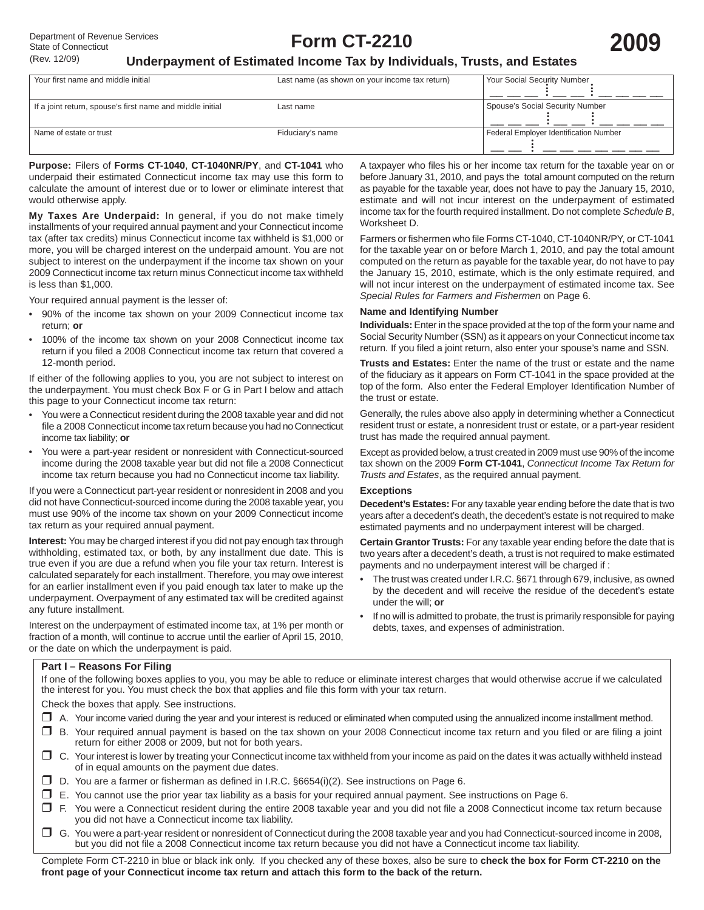A taxpayer who files his or her income tax return for the taxable year on or before January 31, 2010, and pays the total amount computed on the return as payable for the taxable year, does not have to pay the January 15, 2010, estimate and will not incur interest on the underpayment of estimated income tax for the fourth required installment. Do not complete *Schedule B*,

Farmers or fishermen who file Forms CT-1040, CT-1040NR/PY, or CT-1041 for the taxable year on or before March 1, 2010, and pay the total amount computed on the return as payable for the taxable year, do not have to pay the January 15, 2010, estimate, which is the only estimate required, and will not incur interest on the underpayment of estimated income tax. See

**Individuals:** Enter in the space provided at the top of the form your name and Social Security Number (SSN) as it appears on your Connecticut income tax return. If you filed a joint return, also enter your spouse's name and SSN. **Trusts and Estates:** Enter the name of the trust or estate and the name of the fiduciary as it appears on Form CT-1041 in the space provided at the top of the form. Also enter the Federal Employer Identification Number of

Generally, the rules above also apply in determining whether a Connecticut resident trust or estate, a nonresident trust or estate, or a part-year resident

Except as provided below, a trust created in 2009 must use 90% of the income tax shown on the 2009 **Form CT-1041**, *Connecticut Income Tax Return for* 

**Decedent's Estates:** For any taxable year ending before the date that is two years after a decedent's death, the decedent's estate is not required to make estimated payments and no underpayment interest will be charged. **Certain Grantor Trusts:** For any taxable year ending before the date that is two years after a decedent's death, a trust is not required to make estimated

• The trust was created under I.R.C. §671 through 679, inclusive, as owned by the decedent and will receive the residue of the decedent's estate

• If no will is admitted to probate, the trust is primarily responsible for paying

*Special Rules for Farmers and Fishermen* on Page 6.

trust has made the required annual payment.

*Trusts and Estates*, as the required annual payment.

payments and no underpayment interest will be charged if :

debts, taxes, and expenses of administration.

**Name and Identifying Number**

## **Underpayment of Estimated Income Tax by Individuals, Trusts, and Estates**

| Your first name and middle initial                        | Last name (as shown on your income tax return) | Your Social Security Number            |
|-----------------------------------------------------------|------------------------------------------------|----------------------------------------|
| If a joint return, spouse's first name and middle initial | Last name                                      | Spouse's Social Security Number        |
| Name of estate or trust                                   | Fiduciary's name                               | Federal Employer Identification Number |

Worksheet D.

the trust or estate.

**Exceptions**

under the will; **or**

**Purpose:** Filers of **Forms CT-1040**, **CT-1040NR/PY**, and **CT-1041** who underpaid their estimated Connecticut income tax may use this form to calculate the amount of interest due or to lower or eliminate interest that would otherwise apply.

**My Taxes Are Underpaid:** In general, if you do not make timely installments of your required annual payment and your Connecticut income tax (after tax credits) minus Connecticut income tax withheld is \$1,000 or more, you will be charged interest on the underpaid amount. You are not subject to interest on the underpayment if the income tax shown on your 2009 Connecticut income tax return minus Connecticut income tax withheld is less than \$1,000.

Your required annual payment is the lesser of:

- 90% of the income tax shown on your 2009 Connecticut income tax return; **or**
- 100% of the income tax shown on your 2008 Connecticut income tax return if you filed a 2008 Connecticut income tax return that covered a 12-month period.

If either of the following applies to you, you are not subject to interest on the underpayment. You must check Box F or G in Part I below and attach this page to your Connecticut income tax return:

- You were a Connecticut resident during the 2008 taxable year and did not file a 2008 Connecticut income tax return because you had no Connecticut income tax liability; **or**
- You were a part-year resident or nonresident with Connecticut-sourced income during the 2008 taxable year but did not file a 2008 Connecticut income tax return because you had no Connecticut income tax liability.

If you were a Connecticut part-year resident or nonresident in 2008 and you did not have Connecticut-sourced income during the 2008 taxable year, you must use 90% of the income tax shown on your 2009 Connecticut income tax return as your required annual payment.

**Interest:** You may be charged interest if you did not pay enough tax through withholding, estimated tax, or both, by any installment due date. This is true even if you are due a refund when you file your tax return. Interest is calculated separately for each installment. Therefore, you may owe interest for an earlier installment even if you paid enough tax later to make up the underpayment. Overpayment of any estimated tax will be credited against any future installment.

Interest on the underpayment of estimated income tax, at 1% per month or fraction of a month, will continue to accrue until the earlier of April 15, 2010, or the date on which the underpayment is paid.

#### **Part I – Reasons For Filing**

If one of the following boxes applies to you, you may be able to reduce or eliminate interest charges that would otherwise accrue if we calculated the interest for you. You must check the box that applies and file this form with your tax return.

Check the boxes that apply. See instructions.

- A. Your income varied during the year and your interest is reduced or eliminated when computed using the annualized income installment method.
- □ B. Your required annual payment is based on the tax shown on your 2008 Connecticut income tax return and you filed or are filing a joint return for either 2008 or 2009, but not for both years.
- C. Your interest is lower by treating your Connecticut income tax withheld from your income as paid on the dates it was actually withheld instead of in equal amounts on the payment due dates.
- $\square$  D. You are a farmer or fisherman as defined in I.R.C. §6654(i)(2). See instructions on Page 6.
- $\square$  E. You cannot use the prior year tax liability as a basis for your required annual payment. See instructions on Page 6.
- □ F. You were a Connecticut resident during the entire 2008 taxable year and you did not file a 2008 Connecticut income tax return because you did not have a Connecticut income tax liability.
- G. You were a part-year resident or nonresident of Connecticut during the 2008 taxable year and you had Connecticut-sourced income in 2008, but you did not file a 2008 Connecticut income tax return because you did not have a Connecticut income tax liability.

Complete Form CT-2210 in blue or black ink only. If you checked any of these boxes, also be sure to **check the box for Form CT-2210 on the front page of your Connecticut income tax return and attach this form to the back of the return.**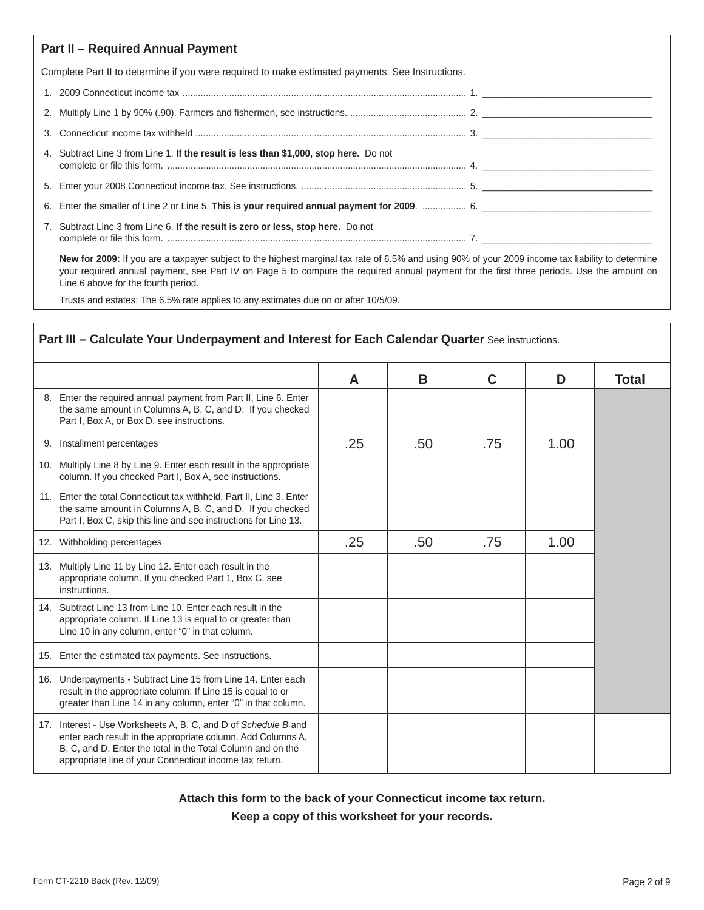| <b>Part II - Required Annual Payment</b>                                                         |  |  |  |  |  |  |
|--------------------------------------------------------------------------------------------------|--|--|--|--|--|--|
| Complete Part II to determine if you were required to make estimated payments. See Instructions. |  |  |  |  |  |  |
|                                                                                                  |  |  |  |  |  |  |
|                                                                                                  |  |  |  |  |  |  |
|                                                                                                  |  |  |  |  |  |  |
| 4. Subtract Line 3 from Line 1. If the result is less than \$1,000, stop here. Do not            |  |  |  |  |  |  |
|                                                                                                  |  |  |  |  |  |  |
|                                                                                                  |  |  |  |  |  |  |
| 7. Subtract Line 3 from Line 6. If the result is zero or less, stop here. Do not                 |  |  |  |  |  |  |

 **New for 2009:** If you are a taxpayer subject to the highest marginal tax rate of 6.5% and using 90% of your 2009 income tax liability to determine your required annual payment, see Part IV on Page 5 to compute the required annual payment for the first three periods. Use the amount on Line 6 above for the fourth period.

Trusts and estates: The 6.5% rate applies to any estimates due on or after 10/5/09.

# Part III - Calculate Your Underpayment and Interest for Each Calendar Quarter See instructions.

|                                                                                                                                                                                                                                                         | A   | B   | C   | D    | <b>Total</b> |
|---------------------------------------------------------------------------------------------------------------------------------------------------------------------------------------------------------------------------------------------------------|-----|-----|-----|------|--------------|
| 8. Enter the required annual payment from Part II, Line 6. Enter<br>the same amount in Columns A, B, C, and D. If you checked<br>Part I, Box A, or Box D, see instructions.                                                                             |     |     |     |      |              |
| 9. Installment percentages                                                                                                                                                                                                                              | .25 | .50 | .75 | 1.00 |              |
| 10. Multiply Line 8 by Line 9. Enter each result in the appropriate<br>column. If you checked Part I, Box A, see instructions.                                                                                                                          |     |     |     |      |              |
| 11. Enter the total Connecticut tax withheld, Part II, Line 3. Enter<br>the same amount in Columns A, B, C, and D. If you checked<br>Part I, Box C, skip this line and see instructions for Line 13.                                                    |     |     |     |      |              |
| 12. Withholding percentages                                                                                                                                                                                                                             | .25 | .50 | .75 | 1.00 |              |
| 13. Multiply Line 11 by Line 12. Enter each result in the<br>appropriate column. If you checked Part 1, Box C, see<br>instructions.                                                                                                                     |     |     |     |      |              |
| 14. Subtract Line 13 from Line 10. Enter each result in the<br>appropriate column. If Line 13 is equal to or greater than<br>Line 10 in any column, enter "0" in that column.                                                                           |     |     |     |      |              |
| 15. Enter the estimated tax payments. See instructions.                                                                                                                                                                                                 |     |     |     |      |              |
| 16. Underpayments - Subtract Line 15 from Line 14. Enter each<br>result in the appropriate column. If Line 15 is equal to or<br>greater than Line 14 in any column, enter "0" in that column.                                                           |     |     |     |      |              |
| 17. Interest - Use Worksheets A, B, C, and D of Schedule B and<br>enter each result in the appropriate column. Add Columns A,<br>B, C, and D. Enter the total in the Total Column and on the<br>appropriate line of your Connecticut income tax return. |     |     |     |      |              |

**Attach this form to the back of your Connecticut income tax return.**

**Keep a copy of this worksheet for your records.**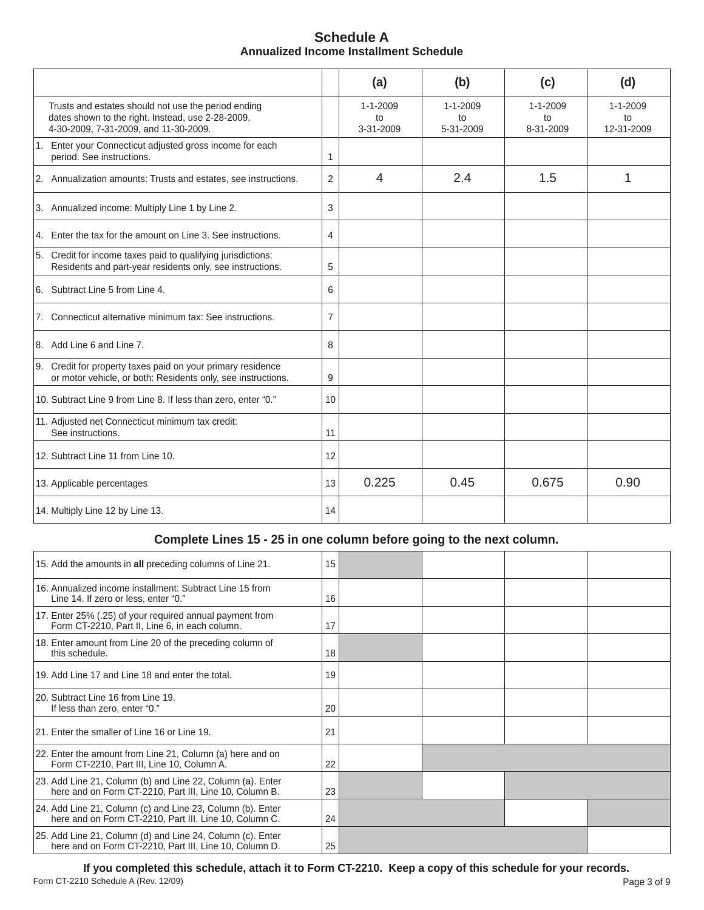| <b>Schedule A</b>                      |  |  |  |  |  |
|----------------------------------------|--|--|--|--|--|
| Annualized Income Installment Schedule |  |  |  |  |  |

|                                                                                                                                                   |                | (a)                               | (b)                               | (c)                               | (d)                                |
|---------------------------------------------------------------------------------------------------------------------------------------------------|----------------|-----------------------------------|-----------------------------------|-----------------------------------|------------------------------------|
| Trusts and estates should not use the period ending<br>dates shown to the right. Instead, use 2-28-2009,<br>4-30-2009, 7-31-2009, and 11-30-2009. |                | $1 - 1 - 2009$<br>to<br>3-31-2009 | $1 - 1 - 2009$<br>to<br>5-31-2009 | $1 - 1 - 2009$<br>to<br>8-31-2009 | $1 - 1 - 2009$<br>to<br>12-31-2009 |
| 1. Enter your Connecticut adjusted gross income for each<br>period. See instructions.                                                             | 1              |                                   |                                   |                                   |                                    |
| 2. Annualization amounts: Trusts and estates, see instructions.                                                                                   | $\overline{2}$ | $\overline{4}$                    | 2.4                               | 1.5                               | 1                                  |
| 3. Annualized income: Multiply Line 1 by Line 2.                                                                                                  | 3              |                                   |                                   |                                   |                                    |
| 4. Enter the tax for the amount on Line 3. See instructions.                                                                                      | 4              |                                   |                                   |                                   |                                    |
| 5. Credit for income taxes paid to qualifying jurisdictions:<br>Residents and part-year residents only, see instructions.                         | 5              |                                   |                                   |                                   |                                    |
| 6. Subtract Line 5 from Line 4.                                                                                                                   | 6              |                                   |                                   |                                   |                                    |
| 7. Connecticut alternative minimum tax: See instructions.                                                                                         | $\overline{7}$ |                                   |                                   |                                   |                                    |
| 8. Add Line 6 and Line 7.                                                                                                                         | 8              |                                   |                                   |                                   |                                    |
| 9. Credit for property taxes paid on your primary residence<br>or motor vehicle, or both: Residents only, see instructions.                       | 9              |                                   |                                   |                                   |                                    |
| 10. Subtract Line 9 from Line 8. If less than zero, enter "0."                                                                                    | 10             |                                   |                                   |                                   |                                    |
| 11. Adjusted net Connecticut minimum tax credit:<br>See instructions.                                                                             | 11             |                                   |                                   |                                   |                                    |
| 12. Subtract Line 11 from Line 10.                                                                                                                | 12             |                                   |                                   |                                   |                                    |
| 13. Applicable percentages                                                                                                                        | 13             | 0.225                             | 0.45                              | 0.675                             | 0.90                               |
| 14. Multiply Line 12 by Line 13.                                                                                                                  | 14             |                                   |                                   |                                   |                                    |

# **Complete Lines 15 - 25 in one column before going to the next column.**

| 15. Add the amounts in all preceding columns of Line 21.                                                             | 15 |  |  |
|----------------------------------------------------------------------------------------------------------------------|----|--|--|
| 16. Annualized income installment: Subtract Line 15 from<br>Line 14. If zero or less, enter "0."                     | 16 |  |  |
| 17. Enter 25% (.25) of your required annual payment from<br>Form CT-2210, Part II, Line 6, in each column.           | 17 |  |  |
| 18. Enter amount from Line 20 of the preceding column of<br>this schedule.                                           | 18 |  |  |
| 19. Add Line 17 and Line 18 and enter the total.                                                                     | 19 |  |  |
| 20. Subtract Line 16 from Line 19.<br>If less than zero, enter "0."                                                  | 20 |  |  |
| 21. Enter the smaller of Line 16 or Line 19.                                                                         | 21 |  |  |
| 22. Enter the amount from Line 21, Column (a) here and on<br>Form CT-2210, Part III, Line 10, Column A.              | 22 |  |  |
| 23. Add Line 21, Column (b) and Line 22, Column (a). Enter<br>here and on Form CT-2210, Part III, Line 10, Column B. | 23 |  |  |
| 24. Add Line 21, Column (c) and Line 23, Column (b). Enter<br>here and on Form CT-2210, Part III, Line 10, Column C. | 24 |  |  |
| 25. Add Line 21, Column (d) and Line 24, Column (c). Enter<br>here and on Form CT-2210, Part III, Line 10, Column D. | 25 |  |  |

**If you completed this schedule, attach it to Form CT-2210. Keep a copy of this schedule for your records.** Form CT-2210 Schedule A (Rev. 12/09)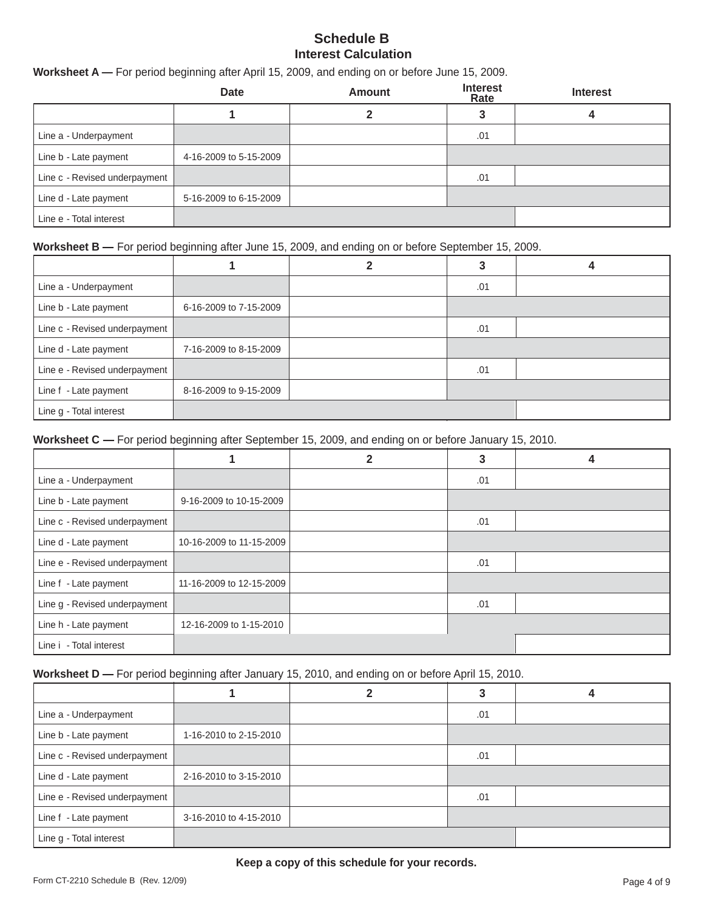## **Schedule B Interest Calculation**

## **Worksheet A —** For period beginning after April 15, 2009, and ending on or before June 15, 2009.

|                               | <b>Date</b>            | <b>Amount</b> | <b>Interest</b><br>Rate | <b>Interest</b> |
|-------------------------------|------------------------|---------------|-------------------------|-----------------|
|                               |                        |               |                         |                 |
| Line a - Underpayment         |                        |               | .01                     |                 |
| Line b - Late payment         | 4-16-2009 to 5-15-2009 |               |                         |                 |
| Line c - Revised underpayment |                        |               | .01                     |                 |
| Line d - Late payment         | 5-16-2009 to 6-15-2009 |               |                         |                 |
| Line e - Total interest       |                        |               |                         |                 |

### **Worksheet B** — For period beginning after June 15, 2009, and ending on or before September 15, 2009.

| Line a - Underpayment         |                        | .01 |  |
|-------------------------------|------------------------|-----|--|
| Line b - Late payment         | 6-16-2009 to 7-15-2009 |     |  |
| Line c - Revised underpayment |                        | .01 |  |
| Line d - Late payment         | 7-16-2009 to 8-15-2009 |     |  |
| Line e - Revised underpayment |                        | .01 |  |
| Line f - Late payment         | 8-16-2009 to 9-15-2009 |     |  |
| Line g - Total interest       |                        |     |  |

**Worksheet C** — For period beginning after September 15, 2009, and ending on or before January 15, 2010.

|                               |                          | 2 | 3   | 4 |
|-------------------------------|--------------------------|---|-----|---|
| Line a - Underpayment         |                          |   | .01 |   |
| Line b - Late payment         | 9-16-2009 to 10-15-2009  |   |     |   |
| Line c - Revised underpayment |                          |   | .01 |   |
| Line d - Late payment         | 10-16-2009 to 11-15-2009 |   |     |   |
| Line e - Revised underpayment |                          |   | .01 |   |
| Line f - Late payment         | 11-16-2009 to 12-15-2009 |   |     |   |
| Line g - Revised underpayment |                          |   | .01 |   |
| Line h - Late payment         | 12-16-2009 to 1-15-2010  |   |     |   |
| Line i - Total interest       |                          |   |     |   |

Worksheet D - For period beginning after January 15, 2010, and ending on or before April 15, 2010.

| Line a - Underpayment         |                        | .01 |  |
|-------------------------------|------------------------|-----|--|
| Line b - Late payment         | 1-16-2010 to 2-15-2010 |     |  |
| Line c - Revised underpayment |                        | .01 |  |
| Line d - Late payment         | 2-16-2010 to 3-15-2010 |     |  |
| Line e - Revised underpayment |                        | .01 |  |
| Line f - Late payment         | 3-16-2010 to 4-15-2010 |     |  |
| Line g - Total interest       |                        |     |  |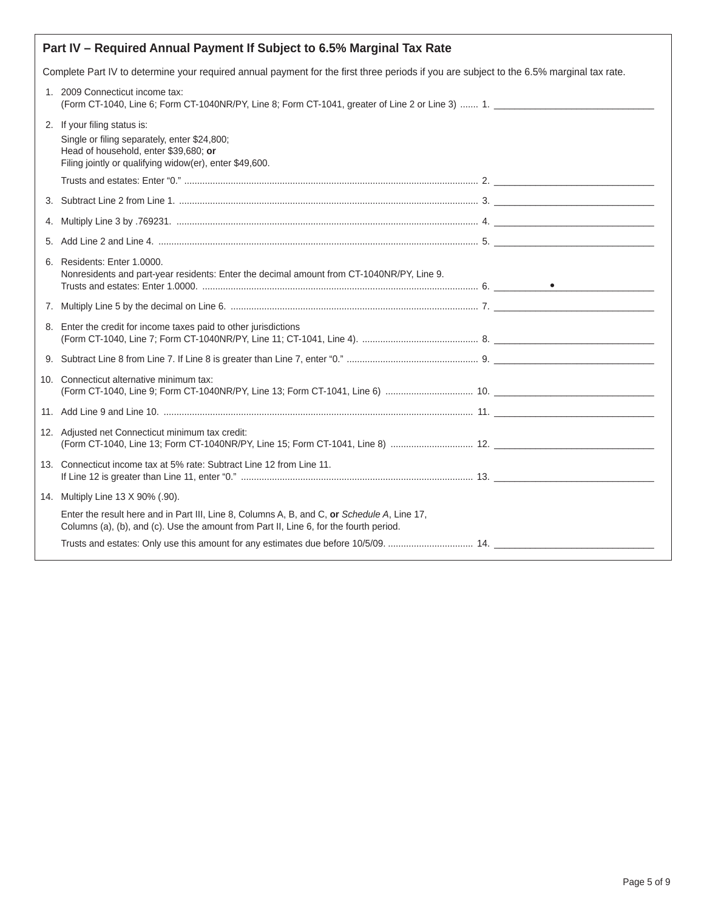|     | Part IV - Required Annual Payment If Subject to 6.5% Marginal Tax Rate                                                                                                                |  |  |  |  |  |
|-----|---------------------------------------------------------------------------------------------------------------------------------------------------------------------------------------|--|--|--|--|--|
|     | Complete Part IV to determine your required annual payment for the first three periods if you are subject to the 6.5% marginal tax rate.                                              |  |  |  |  |  |
|     | 1. 2009 Connecticut income tax:                                                                                                                                                       |  |  |  |  |  |
|     | 2. If your filing status is:<br>Single or filing separately, enter \$24,800;<br>Head of household, enter \$39,680; or<br>Filing jointly or qualifying widow(er), enter \$49,600.      |  |  |  |  |  |
|     |                                                                                                                                                                                       |  |  |  |  |  |
|     |                                                                                                                                                                                       |  |  |  |  |  |
| 4.  |                                                                                                                                                                                       |  |  |  |  |  |
| 5.  |                                                                                                                                                                                       |  |  |  |  |  |
|     | 6. Residents: Enter 1,0000.<br>Nonresidents and part-year residents: Enter the decimal amount from CT-1040NR/PY, Line 9.                                                              |  |  |  |  |  |
|     |                                                                                                                                                                                       |  |  |  |  |  |
|     | 8. Enter the credit for income taxes paid to other jurisdictions                                                                                                                      |  |  |  |  |  |
|     |                                                                                                                                                                                       |  |  |  |  |  |
| 10. | Connecticut alternative minimum tax:                                                                                                                                                  |  |  |  |  |  |
|     |                                                                                                                                                                                       |  |  |  |  |  |
|     | 12. Adjusted net Connecticut minimum tax credit:                                                                                                                                      |  |  |  |  |  |
|     | 13. Connecticut income tax at 5% rate: Subtract Line 12 from Line 11.                                                                                                                 |  |  |  |  |  |
|     | 14. Multiply Line 13 X 90% (.90).                                                                                                                                                     |  |  |  |  |  |
|     | Enter the result here and in Part III, Line 8, Columns A, B, and C, or Schedule A, Line 17,<br>Columns (a), (b), and (c). Use the amount from Part II, Line 6, for the fourth period. |  |  |  |  |  |
|     | Trusts and estates: Only use this amount for any estimates due before 10/5/09.  14.                                                                                                   |  |  |  |  |  |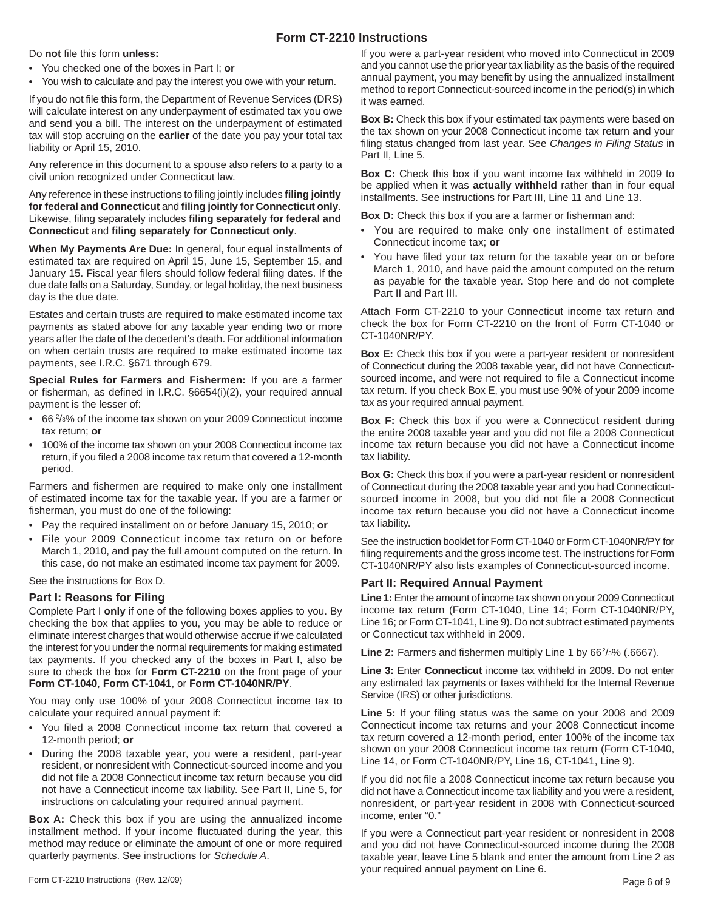## **Form CT-2210 Instructions**

Do not file this form **unless:** 

- You checked one of the boxes in Part I; **or**
- You wish to calculate and pay the interest you owe with your return.

If you do not file this form, the Department of Revenue Services (DRS) will calculate interest on any underpayment of estimated tax you owe and send you a bill. The interest on the underpayment of estimated tax will stop accruing on the **earlier** of the date you pay your total tax liability or April 15, 2010.

Any reference in this document to a spouse also refers to a party to a civil union recognized under Connecticut law.

Any reference in these instructions to filing jointly includes **filing jointly for federal and Connecticut** and **fi ling jointly for Connecticut only**. Likewise, filing separately includes filing separately for federal and **Connecticut** and **fi ling separately for Connecticut only**.

**When My Payments Are Due:** In general, four equal installments of estimated tax are required on April 15, June 15, September 15, and January 15. Fiscal year filers should follow federal filing dates. If the due date falls on a Saturday, Sunday, or legal holiday, the next business day is the due date.

Estates and certain trusts are required to make estimated income tax payments as stated above for any taxable year ending two or more years after the date of the decedent's death. For additional information on when certain trusts are required to make estimated income tax payments, see I.R.C. §671 through 679.

**Special Rules for Farmers and Fishermen:** If you are a farmer or fisherman, as defined in I.R.C.  $\S6654(i)(2)$ , your required annual payment is the lesser of:

- 66 2 /3% of the income tax shown on your 2009 Connecticut income tax return; **or**
- 100% of the income tax shown on your 2008 Connecticut income tax return, if you filed a 2008 income tax return that covered a 12-month period.

Farmers and fishermen are required to make only one installment of estimated income tax for the taxable year. If you are a farmer or fisherman, you must do one of the following:

- Pay the required installment on or before January 15, 2010; **or**
- File your 2009 Connecticut income tax return on or before March 1, 2010, and pay the full amount computed on the return. In this case, do not make an estimated income tax payment for 2009.

See the instructions for Box D.

### **Part I: Reasons for Filing**

Complete Part I **only** if one of the following boxes applies to you. By checking the box that applies to you, you may be able to reduce or eliminate interest charges that would otherwise accrue if we calculated the interest for you under the normal requirements for making estimated tax payments. If you checked any of the boxes in Part I, also be sure to check the box for **Form CT-2210** on the front page of your **Form CT-1040**, **Form CT-1041**, or **Form CT-1040NR/PY**.

You may only use 100% of your 2008 Connecticut income tax to calculate your required annual payment if:

- You filed a 2008 Connecticut income tax return that covered a 12-month period; **or**
- During the 2008 taxable year, you were a resident, part-year resident, or nonresident with Connecticut-sourced income and you did not file a 2008 Connecticut income tax return because you did not have a Connecticut income tax liability. See Part II, Line 5, for instructions on calculating your required annual payment.

**Box A:** Check this box if you are using the annualized income installment method. If your income fluctuated during the year, this method may reduce or eliminate the amount of one or more required quarterly payments. See instructions for *Schedule A*.

If you were a part-year resident who moved into Connecticut in 2009 and you cannot use the prior year tax liability as the basis of the required annual payment, you may benefit by using the annualized installment method to report Connecticut-sourced income in the period(s) in which it was earned.

**Box B:** Check this box if your estimated tax payments were based on the tax shown on your 2008 Connecticut income tax return **and** your filing status changed from last year. See Changes in Filing Status in Part II, Line 5.

**Box C:** Check this box if you want income tax withheld in 2009 to be applied when it was **actually withheld** rather than in four equal installments. See instructions for Part III, Line 11 and Line 13.

Box D: Check this box if you are a farmer or fisherman and:

- You are required to make only one installment of estimated Connecticut income tax; **or**
- You have filed your tax return for the taxable year on or before March 1, 2010, and have paid the amount computed on the return as payable for the taxable year. Stop here and do not complete Part II and Part III.

Attach Form CT-2210 to your Connecticut income tax return and check the box for Form CT-2210 on the front of Form CT-1040 or CT-1040NR/PY.

**Box E:** Check this box if you were a part-year resident or nonresident of Connecticut during the 2008 taxable year, did not have Connecticutsourced income, and were not required to file a Connecticut income tax return. If you check Box E, you must use 90% of your 2009 income tax as your required annual payment.

**Box F:** Check this box if you were a Connecticut resident during the entire 2008 taxable year and you did not file a 2008 Connecticut income tax return because you did not have a Connecticut income tax liability.

**Box G:** Check this box if you were a part-year resident or nonresident of Connecticut during the 2008 taxable year and you had Connecticutsourced income in 2008, but you did not file a 2008 Connecticut income tax return because you did not have a Connecticut income tax liability.

See the instruction booklet for Form CT-1040 or Form CT-1040NR/PY for filing requirements and the gross income test. The instructions for Form CT-1040NR/PY also lists examples of Connecticut-sourced income.

#### **Part II: Required Annual Payment**

**Line 1:** Enter the amount of income tax shown on your 2009 Connecticut income tax return (Form CT-1040, Line 14; Form CT-1040NR/PY, Line 16; or Form CT-1041, Line 9). Do not subtract estimated payments or Connecticut tax withheld in 2009.

Line 2: Farmers and fishermen multiply Line 1 by 66<sup>2</sup>/<sub>3</sub>% (.6667).

**Line 3:** Enter **Connecticut** income tax withheld in 2009. Do not enter any estimated tax payments or taxes withheld for the Internal Revenue Service (IRS) or other jurisdictions.

Line 5: If your filing status was the same on your 2008 and 2009 Connecticut income tax returns and your 2008 Connecticut income tax return covered a 12-month period, enter 100% of the income tax shown on your 2008 Connecticut income tax return (Form CT-1040, Line 14, or Form CT-1040NR/PY, Line 16, CT-1041, Line 9).

If you did not file a 2008 Connecticut income tax return because you did not have a Connecticut income tax liability and you were a resident, nonresident, or part-year resident in 2008 with Connecticut-sourced income, enter "0."

If you were a Connecticut part-year resident or nonresident in 2008 and you did not have Connecticut-sourced income during the 2008 taxable year, leave Line 5 blank and enter the amount from Line 2 as your required annual payment on Line 6.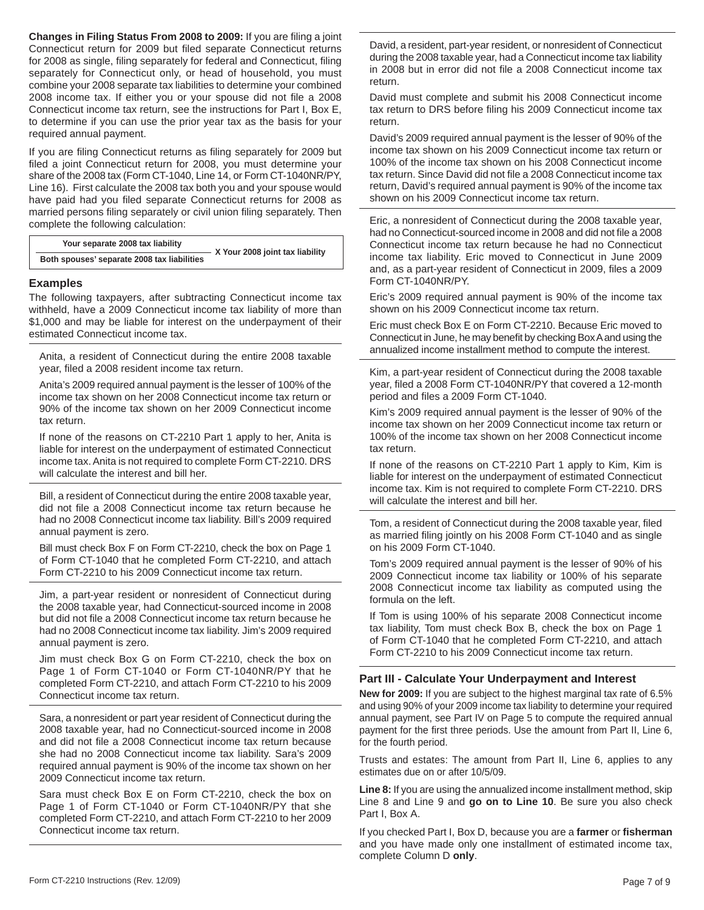**Changes in Filing Status From 2008 to 2009:** If you are filing a joint Connecticut return for 2009 but filed separate Connecticut returns for 2008 as single, filing separately for federal and Connecticut, filing separately for Connecticut only, or head of household, you must combine your 2008 separate tax liabilities to determine your combined 2008 income tax. If either you or your spouse did not file a 2008 Connecticut income tax return, see the instructions for Part I, Box E, to determine if you can use the prior year tax as the basis for your required annual payment.

If you are filing Connecticut returns as filing separately for 2009 but filed a joint Connecticut return for 2008, you must determine your share of the 2008 tax (Form CT-1040, Line 14, or Form CT-1040NR/PY, Line 16). First calculate the 2008 tax both you and your spouse would have paid had you filed separate Connecticut returns for 2008 as married persons filing separately or civil union filing separately. Then complete the following calculation:

| Your separate 2008 tax liability |                                             | X Your 2008 joint tax liability |
|----------------------------------|---------------------------------------------|---------------------------------|
|                                  | Both spouses' separate 2008 tax liabilities |                                 |

#### **Examples**

The following taxpayers, after subtracting Connecticut income tax withheld, have a 2009 Connecticut income tax liability of more than \$1,000 and may be liable for interest on the underpayment of their estimated Connecticut income tax.

Anita, a resident of Connecticut during the entire 2008 taxable year, filed a 2008 resident income tax return.

Anita's 2009 required annual payment is the lesser of 100% of the income tax shown on her 2008 Connecticut income tax return or 90% of the income tax shown on her 2009 Connecticut income tax return.

If none of the reasons on CT-2210 Part 1 apply to her, Anita is liable for interest on the underpayment of estimated Connecticut income tax. Anita is not required to complete Form CT-2210. DRS will calculate the interest and bill her.

Bill, a resident of Connecticut during the entire 2008 taxable year, did not file a 2008 Connecticut income tax return because he had no 2008 Connecticut income tax liability. Bill's 2009 required annual payment is zero.

Bill must check Box F on Form CT-2210, check the box on Page 1 of Form CT-1040 that he completed Form CT-2210, and attach Form CT-2210 to his 2009 Connecticut income tax return.

Jim, a part-year resident or nonresident of Connecticut during the 2008 taxable year, had Connecticut-sourced income in 2008 but did not file a 2008 Connecticut income tax return because he had no 2008 Connecticut income tax liability. Jim's 2009 required annual payment is zero.

Jim must check Box G on Form CT-2210, check the box on Page 1 of Form CT-1040 or Form CT-1040NR/PY that he completed Form CT-2210, and attach Form CT-2210 to his 2009 Connecticut income tax return.

Sara, a nonresident or part year resident of Connecticut during the 2008 taxable year, had no Connecticut-sourced income in 2008 and did not file a 2008 Connecticut income tax return because she had no 2008 Connecticut income tax liability. Sara's 2009 required annual payment is 90% of the income tax shown on her 2009 Connecticut income tax return.

Sara must check Box E on Form CT-2210, check the box on Page 1 of Form CT-1040 or Form CT-1040NR/PY that she completed Form CT-2210, and attach Form CT-2210 to her 2009 Connecticut income tax return.

David, a resident, part-year resident, or nonresident of Connecticut during the 2008 taxable year, had a Connecticut income tax liability in 2008 but in error did not file a 2008 Connecticut income tax return.

David must complete and submit his 2008 Connecticut income tax return to DRS before filing his 2009 Connecticut income tax return.

David's 2009 required annual payment is the lesser of 90% of the income tax shown on his 2009 Connecticut income tax return or 100% of the income tax shown on his 2008 Connecticut income tax return. Since David did not file a 2008 Connecticut income tax return, David's required annual payment is 90% of the income tax shown on his 2009 Connecticut income tax return.

Eric, a nonresident of Connecticut during the 2008 taxable year, had no Connecticut-sourced income in 2008 and did not file a 2008 Connecticut income tax return because he had no Connecticut income tax liability. Eric moved to Connecticut in June 2009 and, as a part-year resident of Connecticut in 2009, files a 2009 Form CT-1040NR/PY.

Eric's 2009 required annual payment is 90% of the income tax shown on his 2009 Connecticut income tax return.

Eric must check Box E on Form CT-2210. Because Eric moved to Connecticut in June, he may benefit by checking Box A and using the annualized income installment method to compute the interest.

Kim, a part-year resident of Connecticut during the 2008 taxable year, filed a 2008 Form CT-1040NR/PY that covered a 12-month period and files a 2009 Form CT-1040.

Kim's 2009 required annual payment is the lesser of 90% of the income tax shown on her 2009 Connecticut income tax return or 100% of the income tax shown on her 2008 Connecticut income tax return.

If none of the reasons on CT-2210 Part 1 apply to Kim, Kim is liable for interest on the underpayment of estimated Connecticut income tax. Kim is not required to complete Form CT-2210. DRS will calculate the interest and bill her.

Tom, a resident of Connecticut during the 2008 taxable year, filed as married filing jointly on his 2008 Form CT-1040 and as single on his 2009 Form CT-1040.

Tom's 2009 required annual payment is the lesser of 90% of his 2009 Connecticut income tax liability or 100% of his separate 2008 Connecticut income tax liability as computed using the formula on the left.

If Tom is using 100% of his separate 2008 Connecticut income tax liability, Tom must check Box B, check the box on Page 1 of Form CT-1040 that he completed Form CT-2210, and attach Form CT-2210 to his 2009 Connecticut income tax return.

#### **Part III - Calculate Your Underpayment and Interest**

**New for 2009:** If you are subject to the highest marginal tax rate of 6.5% and using 90% of your 2009 income tax liability to determine your required annual payment, see Part IV on Page 5 to compute the required annual payment for the first three periods. Use the amount from Part II, Line 6, for the fourth period.

Trusts and estates: The amount from Part II, Line 6, applies to any estimates due on or after 10/5/09.

**Line 8:** If you are using the annualized income installment method, skip Line 8 and Line 9 and **go on to Line 10**. Be sure you also check Part I, Box A.

If you checked Part I, Box D, because you are a **farmer** or **fi sherman** and you have made only one installment of estimated income tax, complete Column D **only**.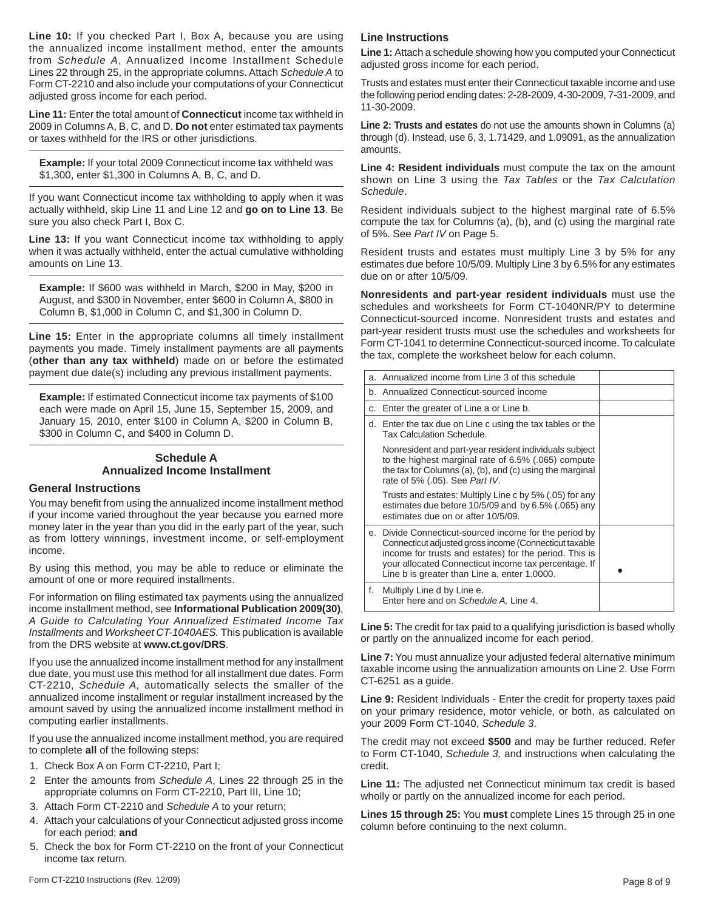**Line 10:** If you checked Part I, Box A, because you are using the annualized income installment method, enter the amounts from *Schedule A*, Annualized Income Installment Schedule Lines 22 through 25, in the appropriate columns. Attach *Schedule A* to Form CT-2210 and also include your computations of your Connecticut adjusted gross income for each period.

**Line 11:** Enter the total amount of **Connecticut** income tax withheld in 2009 in Columns A, B, C, and D. **Do not** enter estimated tax payments or taxes withheld for the IRS or other jurisdictions.

**Example:** If your total 2009 Connecticut income tax withheld was \$1,300, enter \$1,300 in Columns A, B, C, and D.

If you want Connecticut income tax withholding to apply when it was actually withheld, skip Line 11 and Line 12 and **go on to Line 13**. Be sure you also check Part I, Box C.

**Line 13:** If you want Connecticut income tax withholding to apply when it was actually withheld, enter the actual cumulative withholding amounts on Line 13.

**Example:** If \$600 was withheld in March, \$200 in May, \$200 in August, and \$300 in November, enter \$600 in Column A, \$800 in Column B, \$1,000 in Column C, and \$1,300 in Column D.

**Line 15:** Enter in the appropriate columns all timely installment payments you made. Timely installment payments are all payments (**other than any tax withheld**) made on or before the estimated payment due date(s) including any previous installment payments.

**Example:** If estimated Connecticut income tax payments of \$100 each were made on April 15, June 15, September 15, 2009, and January 15, 2010, enter \$100 in Column A, \$200 in Column B, \$300 in Column C, and \$400 in Column D.

## **Schedule A Annualized Income Installment**

#### **General Instructions**

You may benefit from using the annualized income installment method if your income varied throughout the year because you earned more money later in the year than you did in the early part of the year, such as from lottery winnings, investment income, or self-employment income.

By using this method, you may be able to reduce or eliminate the amount of one or more required installments.

For information on filing estimated tax payments using the annualized income installment method, see **Informational Publication 2009(30)**, *A Guide to Calculating Your Annualized Estimated Income Tax Installments* and *Worksheet CT-1040AES.* This publication is available from the DRS website at **www.ct.gov/DRS**.

If you use the annualized income installment method for any installment due date, you must use this method for all installment due dates. Form CT-2210, *Schedule A,* automatically selects the smaller of the annualized income installment or regular installment increased by the amount saved by using the annualized income installment method in computing earlier installments.

If you use the annualized income installment method, you are required to complete **all** of the following steps:

- 1. Check Box A on Form CT-2210, Part I;
- 2 Enter the amounts from *Schedule A*, Lines 22 through 25 in the appropriate columns on Form CT-2210, Part III, Line 10;
- 3. Attach Form CT-2210 and *Schedule A* to your return;
- 4. Attach your calculations of your Connecticut adjusted gross income for each period; **and**
- 5. Check the box for Form CT-2210 on the front of your Connecticut income tax return.

#### **Line Instructions**

**Line 1:** Attach a schedule showing how you computed your Connecticut adjusted gross income for each period.

Trusts and estates must enter their Connecticut taxable income and use the following period ending dates: 2-28-2009, 4-30-2009, 7-31-2009, and 11-30-2009.

**Line 2: Trusts and estates** do not use the amounts shown in Columns (a) through (d). Instead, use 6, 3, 1.71429, and 1.09091, as the annualization amounts.

**Line 4: Resident individuals** must compute the tax on the amount shown on Line 3 using the *Tax Tables* or the *Tax Calculation Schedule*.

Resident individuals subject to the highest marginal rate of 6.5% compute the tax for Columns (a), (b), and (c) using the marginal rate of 5%. See *Part IV* on Page 5.

Resident trusts and estates must multiply Line 3 by 5% for any estimates due before 10/5/09. Multiply Line 3 by 6.5% for any estimates due on or after 10/5/09.

**Nonresidents and part-year resident individuals** must use the schedules and worksheets for Form CT-1040NR/PY to determine Connecticut-sourced income. Nonresident trusts and estates and part-year resident trusts must use the schedules and worksheets for Form CT-1041 to determine Connecticut-sourced income. To calculate the tax, complete the worksheet below for each column.

| a. | Annualized income from Line 3 of this schedule                                                                                                                                                                                                                                     |  |
|----|------------------------------------------------------------------------------------------------------------------------------------------------------------------------------------------------------------------------------------------------------------------------------------|--|
|    | b. Annualized Connecticut-sourced income                                                                                                                                                                                                                                           |  |
| C. | Enter the greater of Line a or Line b.                                                                                                                                                                                                                                             |  |
|    | d. Enter the tax due on Line c using the tax tables or the<br>Tax Calculation Schedule.                                                                                                                                                                                            |  |
|    | Nonresident and part-year resident individuals subject<br>to the highest marginal rate of 6.5% (.065) compute<br>the tax for Columns (a), (b), and (c) using the marginal<br>rate of 5% (.05). See Part IV.                                                                        |  |
|    | Trusts and estates: Multiply Line c by 5% (.05) for any<br>estimates due before 10/5/09 and by 6.5% (.065) any<br>estimates due on or after 10/5/09.                                                                                                                               |  |
|    | e. Divide Connecticut-sourced income for the period by<br>Connecticut adjusted gross income (Connecticut taxable<br>income for trusts and estates) for the period. This is<br>your allocated Connecticut income tax percentage. If<br>Line b is greater than Line a, enter 1.0000. |  |
| f. | Multiply Line d by Line e.<br>Enter here and on Schedule A, Line 4.                                                                                                                                                                                                                |  |

**Line 5:** The credit for tax paid to a qualifying jurisdiction is based wholly or partly on the annualized income for each period.

**Line 7:** You must annualize your adjusted federal alternative minimum taxable income using the annualization amounts on Line 2. Use Form CT-6251 as a guide.

**Line 9:** Resident Individuals - Enter the credit for property taxes paid on your primary residence, motor vehicle, or both, as calculated on your 2009 Form CT-1040, *Schedule 3*.

The credit may not exceed **\$500** and may be further reduced. Refer to Form CT-1040, *Schedule 3,* and instructions when calculating the credit.

**Line 11:** The adjusted net Connecticut minimum tax credit is based wholly or partly on the annualized income for each period.

**Lines 15 through 25:** You **must** complete Lines 15 through 25 in one column before continuing to the next column.